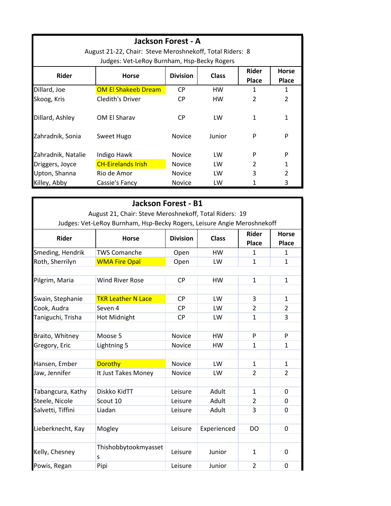| <b>Jackson Forest - A</b><br>August 21-22, Chair: Steve Meroshnekoff, Total Riders: 8<br>Judges: Vet-LeRoy Burnham, Hsp-Becky Rogers |                            |                 |              |                       |                              |
|--------------------------------------------------------------------------------------------------------------------------------------|----------------------------|-----------------|--------------|-----------------------|------------------------------|
| <b>Rider</b>                                                                                                                         | <b>Horse</b>               | <b>Division</b> | <b>Class</b> | <b>Rider</b><br>Place | <b>Horse</b><br><b>Place</b> |
| Dillard, Joe                                                                                                                         | <b>OM El Shakeeb Dream</b> | <b>CP</b>       | HW           | 1                     | 1                            |
| Skoog, Kris                                                                                                                          | Cledith's Driver           | <b>CP</b>       | HW           | $\overline{2}$        | $\overline{2}$               |
| Dillard, Ashley                                                                                                                      | OM El Sharav               | CP.             | LW           |                       | 1                            |
| Zahradnik, Sonia                                                                                                                     | Sweet Hugo                 | <b>Novice</b>   | Junior       | P                     | P                            |
| Zahradnik, Natalie                                                                                                                   | Indigo Hawk                | <b>Novice</b>   | LW           | P                     | P                            |
| Driggers, Joyce                                                                                                                      | <b>CH-Eirelands Irish</b>  | <b>Novice</b>   | LW           | $\mathfrak{p}$        | 1                            |
| Upton, Shanna                                                                                                                        | Rio de Amor                | <b>Novice</b>   | LW           | 3                     | $\mathfrak{p}$               |
| Killey, Abby                                                                                                                         | Cassie's Fancy             | <b>Novice</b>   | LW           |                       | 3                            |

|                                                                                                                                   | <b>Jackson Forest - B1</b> |               |             |                |                |              |
|-----------------------------------------------------------------------------------------------------------------------------------|----------------------------|---------------|-------------|----------------|----------------|--------------|
| August 21, Chair: Steve Meroshnekoff, Total Riders: 19<br>Judges: Vet-LeRoy Burnham, Hsp-Becky Rogers, Leisure Angie Meroshnekoff |                            |               |             |                |                |              |
|                                                                                                                                   |                            |               |             |                |                | <b>Rider</b> |
| Smeding, Hendrik                                                                                                                  | <b>TWS Comanche</b>        | Open          | <b>HW</b>   | 1              | $\mathbf{1}$   |              |
| Roth, Sherrilyn                                                                                                                   | <b>WMA Fire Opal</b>       | Open          | LW          | $\mathbf{1}$   | $\mathbf{1}$   |              |
|                                                                                                                                   |                            |               |             |                |                |              |
| Pilgrim, Maria                                                                                                                    | <b>Wind River Rose</b>     | <b>CP</b>     | HW          | $\mathbf{1}$   | $\mathbf{1}$   |              |
|                                                                                                                                   |                            |               |             |                |                |              |
| Swain, Stephanie                                                                                                                  | <b>TKR Leather N Lace</b>  | <b>CP</b>     | <b>LW</b>   | 3              | $\mathbf{1}$   |              |
| Cook, Audra                                                                                                                       | Seven 4                    | <b>CP</b>     | LW          | $\overline{2}$ | 2              |              |
| Taniguchi, Trisha                                                                                                                 | Hot Midnight               | <b>CP</b>     | LW          | $\mathbf{1}$   | 3              |              |
|                                                                                                                                   |                            |               |             |                |                |              |
| Braito, Whitney                                                                                                                   | Moose 5                    | <b>Novice</b> | <b>HW</b>   | P              | P              |              |
| Gregory, Eric                                                                                                                     | Lightning 5                | <b>Novice</b> | <b>HW</b>   | $\mathbf{1}$   | $\mathbf{1}$   |              |
|                                                                                                                                   |                            |               |             |                |                |              |
| Hansen, Ember                                                                                                                     | Dorothy                    | <b>Novice</b> | LW          | $\mathbf{1}$   | $\mathbf{1}$   |              |
| Jaw, Jennifer                                                                                                                     | It Just Takes Money        | Novice        | LW          | $\overline{2}$ | $\overline{2}$ |              |
|                                                                                                                                   |                            |               |             |                |                |              |
| Tabangcura, Kathy                                                                                                                 | Diskko KidTT               | Leisure       | Adult       | 1              | 0              |              |
| Steele, Nicole                                                                                                                    | Scout 10                   | Leisure       | Adult       | $\overline{2}$ | 0              |              |
| Salvetti, Tiffini                                                                                                                 | Liadan                     | Leisure       | Adult       | 3              | $\Omega$       |              |
|                                                                                                                                   |                            |               |             |                |                |              |
| Lieberknecht, Kay                                                                                                                 | Mogley                     | Leisure       | Experienced | <b>DO</b>      | 0              |              |
|                                                                                                                                   |                            |               |             |                |                |              |
| Kelly, Chesney                                                                                                                    | Thishobbytookmyasset<br>S  | Leisure       | Junior      | $\mathbf{1}$   | 0              |              |
| Powis, Regan                                                                                                                      | Pipi                       | Leisure       | Junior      | $\overline{2}$ | 0              |              |